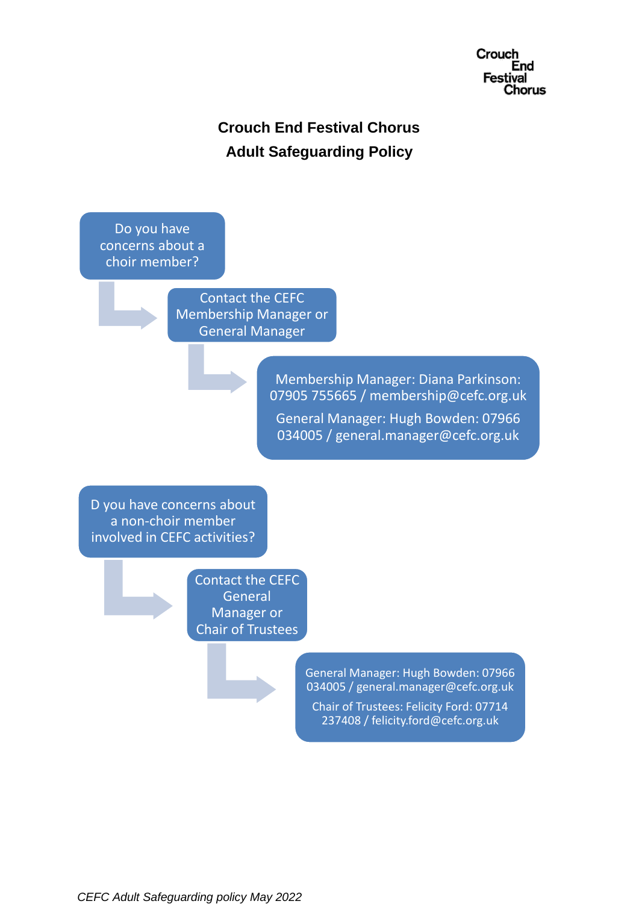

# **Crouch End Festival Chorus Adult Safeguarding Policy**

Do you have concerns about a choir member?

> Contact the CEFC Membership Manager or General Manager

> > Membership Manager: Diana Parkinson: 07905 755665 / membership@cefc.org.uk General Manager: Hugh Bowden: 07966 034005 / general.manager@cefc.org.uk

D you have concerns about a non-choir member involved in CEFC activities?

> Contact the CEFC **General** Manager or Chair of Trustees

> > General Manager: Hugh Bowden: 07966 034005 / general.manager@cefc.org.uk Chair of Trustees: Felicity Ford: 07714

237408 / felicity.ford@cefc.org.uk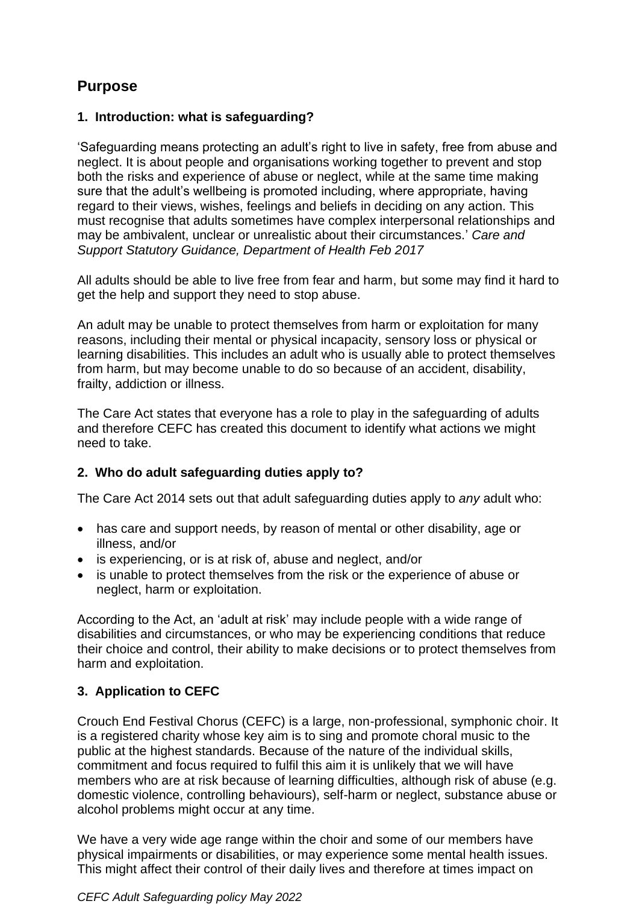## **Purpose**

## **1. Introduction: what is safeguarding?**

'Safeguarding means protecting an adult's right to live in safety, free from abuse and neglect. It is about people and organisations working together to prevent and stop both the risks and experience of abuse or neglect, while at the same time making sure that the adult's wellbeing is promoted including, where appropriate, having regard to their views, wishes, feelings and beliefs in deciding on any action. This must recognise that adults sometimes have complex interpersonal relationships and may be ambivalent, unclear or unrealistic about their circumstances.' *Care and Support Statutory Guidance, Department of Health Feb 2017*

All adults should be able to live free from fear and harm, but some may find it hard to get the help and support they need to stop abuse.

An adult may be unable to protect themselves from harm or exploitation for many reasons, including their mental or physical incapacity, sensory loss or physical or learning disabilities. This includes an adult who is usually able to protect themselves from harm, but may become unable to do so because of an accident, disability, frailty, addiction or illness.

The Care Act states that everyone has a role to play in the safeguarding of adults and therefore CEFC has created this document to identify what actions we might need to take.

## **2. Who do adult safeguarding duties apply to?**

The Care Act 2014 sets out that adult safeguarding duties apply to *any* adult who:

- has care and support needs, by reason of mental or other disability, age or illness, and/or
- is experiencing, or is at risk of, abuse and neglect, and/or
- is unable to protect themselves from the risk or the experience of abuse or neglect, harm or exploitation.

According to the Act, an 'adult at risk' may include people with a wide range of disabilities and circumstances, or who may be experiencing conditions that reduce their choice and control, their ability to make decisions or to protect themselves from harm and exploitation.

## **3. Application to CEFC**

Crouch End Festival Chorus (CEFC) is a large, non-professional, symphonic choir. It is a registered charity whose key aim is to sing and promote choral music to the public at the highest standards. Because of the nature of the individual skills, commitment and focus required to fulfil this aim it is unlikely that we will have members who are at risk because of learning difficulties, although risk of abuse (e.g. domestic violence, controlling behaviours), self-harm or neglect, substance abuse or alcohol problems might occur at any time.

We have a very wide age range within the choir and some of our members have physical impairments or disabilities, or may experience some mental health issues. This might affect their control of their daily lives and therefore at times impact on

#### *CEFC Adult Safeguarding policy May 2022*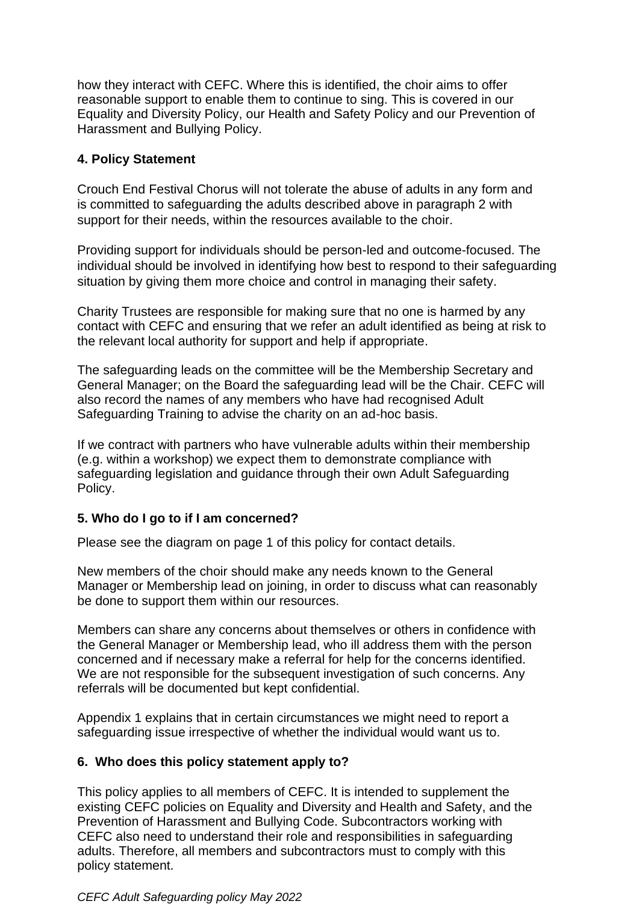how they interact with CEFC. Where this is identified, the choir aims to offer reasonable support to enable them to continue to sing. This is covered in our Equality and Diversity Policy, our Health and Safety Policy and our Prevention of Harassment and Bullying Policy.

## **4. Policy Statement**

Crouch End Festival Chorus will not tolerate the abuse of adults in any form and is committed to safeguarding the adults described above in paragraph 2 with support for their needs, within the resources available to the choir.

Providing support for individuals should be person-led and outcome-focused. The individual should be involved in identifying how best to respond to their safeguarding situation by giving them more choice and control in managing their safety.

Charity Trustees are responsible for making sure that no one is harmed by any contact with CEFC and ensuring that we refer an adult identified as being at risk to the relevant local authority for support and help if appropriate.

The safeguarding leads on the committee will be the Membership Secretary and General Manager; on the Board the safeguarding lead will be the Chair. CEFC will also record the names of any members who have had recognised Adult Safeguarding Training to advise the charity on an ad-hoc basis.

If we contract with partners who have vulnerable adults within their membership (e.g. within a workshop) we expect them to demonstrate compliance with safeguarding legislation and guidance through their own Adult Safeguarding Policy.

## **5. Who do I go to if I am concerned?**

Please see the diagram on page 1 of this policy for contact details.

New members of the choir should make any needs known to the General Manager or Membership lead on joining, in order to discuss what can reasonably be done to support them within our resources.

Members can share any concerns about themselves or others in confidence with the General Manager or Membership lead, who ill address them with the person concerned and if necessary make a referral for help for the concerns identified. We are not responsible for the subsequent investigation of such concerns. Any referrals will be documented but kept confidential.

Appendix 1 explains that in certain circumstances we might need to report a safeguarding issue irrespective of whether the individual would want us to.

## **6. Who does this policy statement apply to?**

This policy applies to all members of CEFC. It is intended to supplement the existing CEFC policies on Equality and Diversity and Health and Safety, and the Prevention of Harassment and Bullying Code. Subcontractors working with CEFC also need to understand their role and responsibilities in safeguarding adults. Therefore, all members and subcontractors must to comply with this policy statement.

#### *CEFC Adult Safeguarding policy May 2022*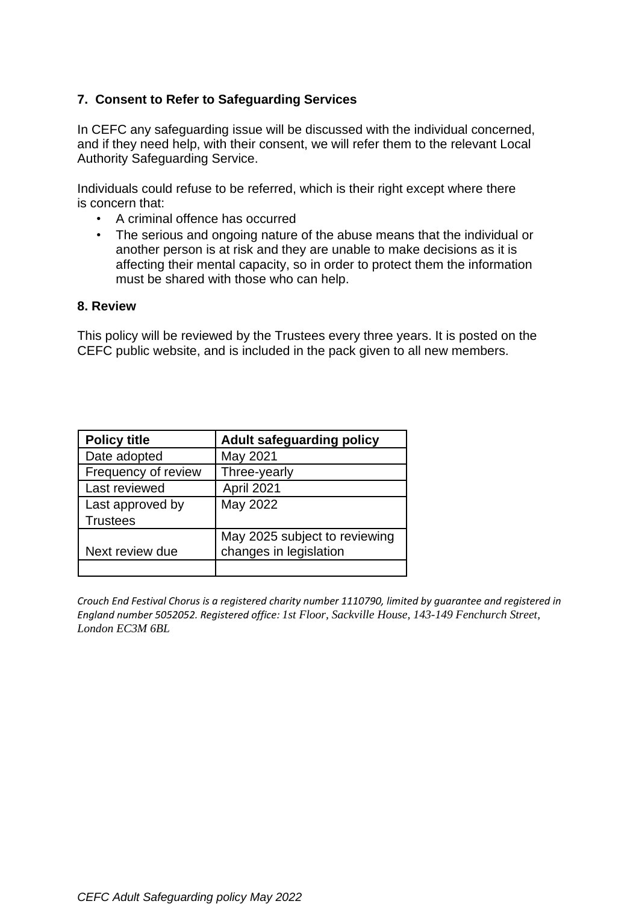## **7. Consent to Refer to Safeguarding Services**

In CEFC any safeguarding issue will be discussed with the individual concerned, and if they need help, with their consent, we will refer them to the relevant Local Authority Safeguarding Service.

Individuals could refuse to be referred, which is their right except where there is concern that:

- A criminal offence has occurred
- The serious and ongoing nature of the abuse means that the individual or another person is at risk and they are unable to make decisions as it is affecting their mental capacity, so in order to protect them the information must be shared with those who can help.

#### **8. Review**

This policy will be reviewed by the Trustees every three years. It is posted on the CEFC public website, and is included in the pack given to all new members.

| <b>Policy title</b> | <b>Adult safeguarding policy</b> |
|---------------------|----------------------------------|
| Date adopted        | May 2021                         |
| Frequency of review | Three-yearly                     |
| Last reviewed       | April 2021                       |
| Last approved by    | May 2022                         |
| <b>Trustees</b>     |                                  |
|                     | May 2025 subject to reviewing    |
| Next review due     | changes in legislation           |
|                     |                                  |

*Crouch End Festival Chorus is a registered charity number 1110790, limited by guarantee and registered in England number 5052052. Registered office: 1st Floor, Sackville House, 143-149 Fenchurch Street, London EC3M 6BL*